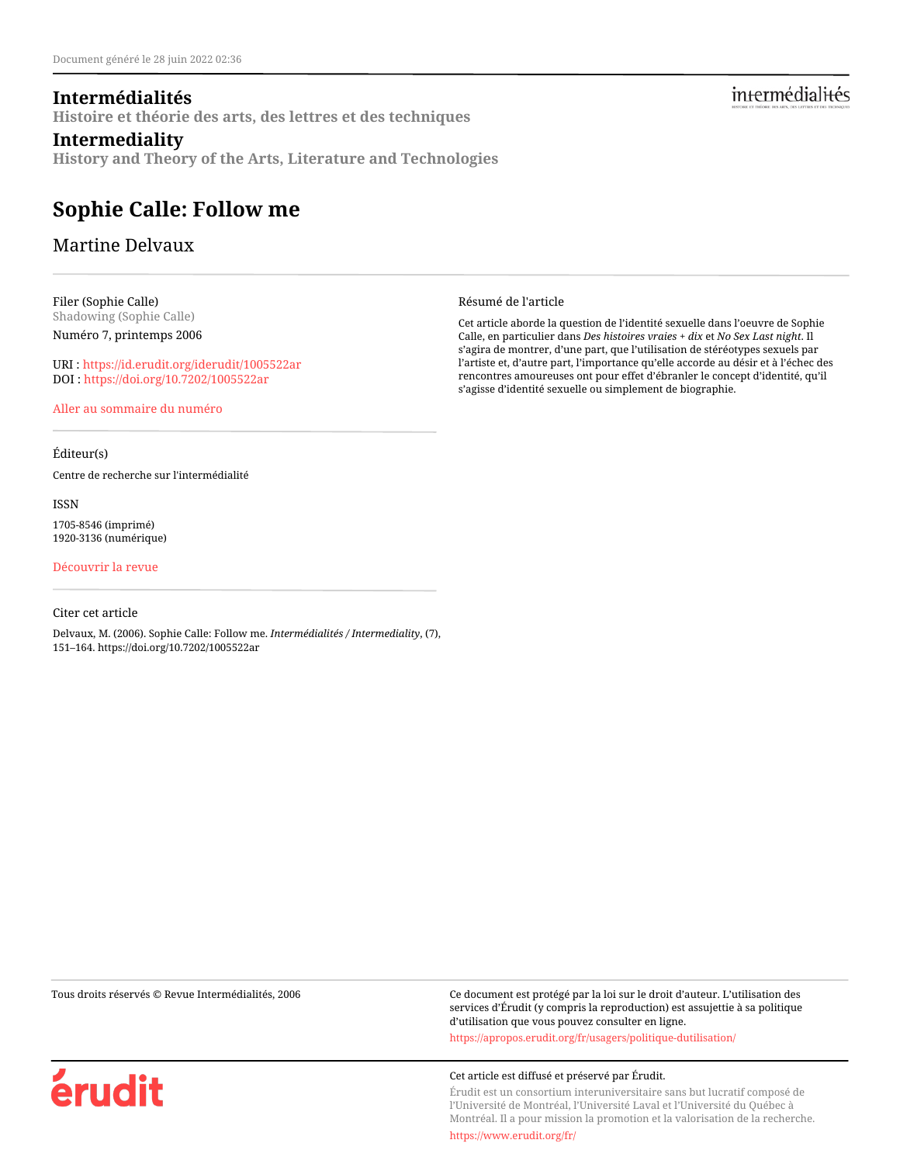**Intermédialités Histoire et théorie des arts, des lettres et des techniques**

### **Intermediality**

**History and Theory of the Arts, Literature and Technologies**

# **Sophie Calle: Follow me**

## Martine Delvaux

Filer (Sophie Calle) Shadowing (Sophie Calle)

Numéro 7, printemps 2006

URI :<https://id.erudit.org/iderudit/1005522ar> DOI :<https://doi.org/10.7202/1005522ar>

[Aller au sommaire du numéro](https://www.erudit.org/fr/revues/im/2006-n7-im1814774/)

#### Éditeur(s)

Centre de recherche sur l'intermédialité

ISSN

1705-8546 (imprimé) 1920-3136 (numérique)

[Découvrir la revue](https://www.erudit.org/fr/revues/im/)

Citer cet article

Delvaux, M. (2006). Sophie Calle: Follow me. *Intermédialités / Intermediality*, (7), 151–164. https://doi.org/10.7202/1005522ar

Tous droits réservés © Revue Intermédialités, 2006 Ce document est protégé par la loi sur le droit d'auteur. L'utilisation des services d'Érudit (y compris la reproduction) est assujettie à sa politique d'utilisation que vous pouvez consulter en ligne. <https://apropos.erudit.org/fr/usagers/politique-dutilisation/>

Cet article est diffusé et préservé par Érudit.

Érudit est un consortium interuniversitaire sans but lucratif composé de l'Université de Montréal, l'Université Laval et l'Université du Québec à Montréal. Il a pour mission la promotion et la valorisation de la recherche.

<https://www.erudit.org/fr/>



Résumé de l'article

Cet article aborde la question de l'identité sexuelle dans l'oeuvre de Sophie Calle, en particulier dans *Des histoires vraies + dix* et *No Sex Last night*. Il s'agira de montrer, d'une part, que l'utilisation de stéréotypes sexuels par l'artiste et, d'autre part, l'importance qu'elle accorde au désir et à l'échec des rencontres amoureuses ont pour effet d'ébranler le concept d'identité, qu'il s'agisse d'identité sexuelle ou simplement de biographie.

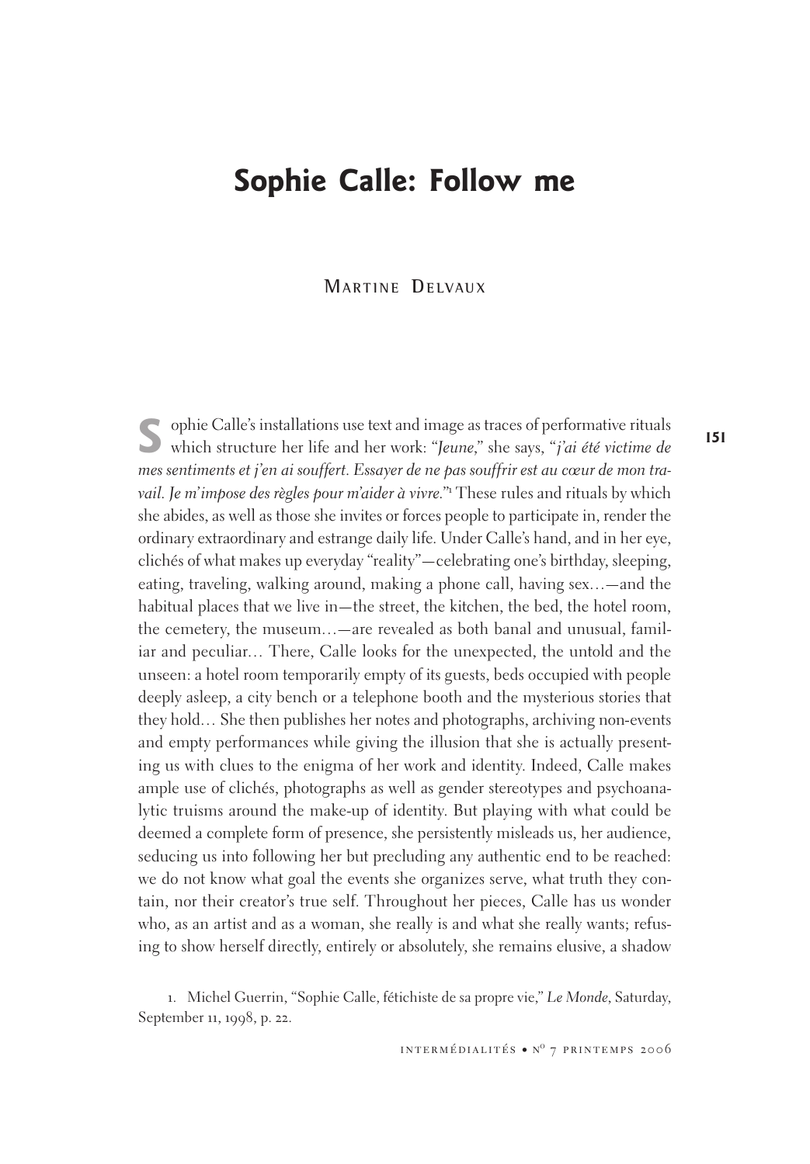# **Sophie Calle: Follow me**

### **Mart ine Delvaux**

**S** ophie Calle's installations use text and image as traces of performative rituals which structure her life and her work: "*Jeune*," she says, "*j'ai été victime de mes sentiments et j'en ai souffert. Essayer de ne pas souffrir est au cœur de mon travail. Je m'impose des règles pour m'aider à vivre.*"<sup>1</sup> These rules and rituals by which she abides, as well as those she invites or forces people to participate in, render the ordinary extraordinary and estrange daily life. Under Calle's hand, and in her eye, clichés of what makes up everyday "reality"—celebrating one's birthday, sleeping, eating, traveling, walking around, making a phone call, having sex…—and the habitual places that we live in—the street, the kitchen, the bed, the hotel room, the cemetery, the museum…—are revealed as both banal and unusual, familiar and peculiar… There, Calle looks for the unexpected, the untold and the unseen: a hotel room temporarily empty of its guests, beds occupied with people deeply asleep, a city bench or a telephone booth and the mysterious stories that they hold… She then publishes her notes and photographs, archiving non-events and empty performances while giving the illusion that she is actually presenting us with clues to the enigma of her work and identity. Indeed, Calle makes ample use of clichés, photographs as well as gender stereotypes and psychoanalytic truisms around the make-up of identity. But playing with what could be deemed a complete form of presence, she persistently misleads us, her audience, seducing us into following her but precluding any authentic end to be reached: we do not know what goal the events she organizes serve, what truth they contain, nor their creator's true self. Throughout her pieces, Calle has us wonder who, as an artist and as a woman, she really is and what she really wants; refusing to show herself directly, entirely or absolutely, she remains elusive, a shadow

1. Michel Guerrin, "Sophie Calle, fétichiste de sa propre vie," *Le Monde*, Saturday, September 11, 1998, p. 22.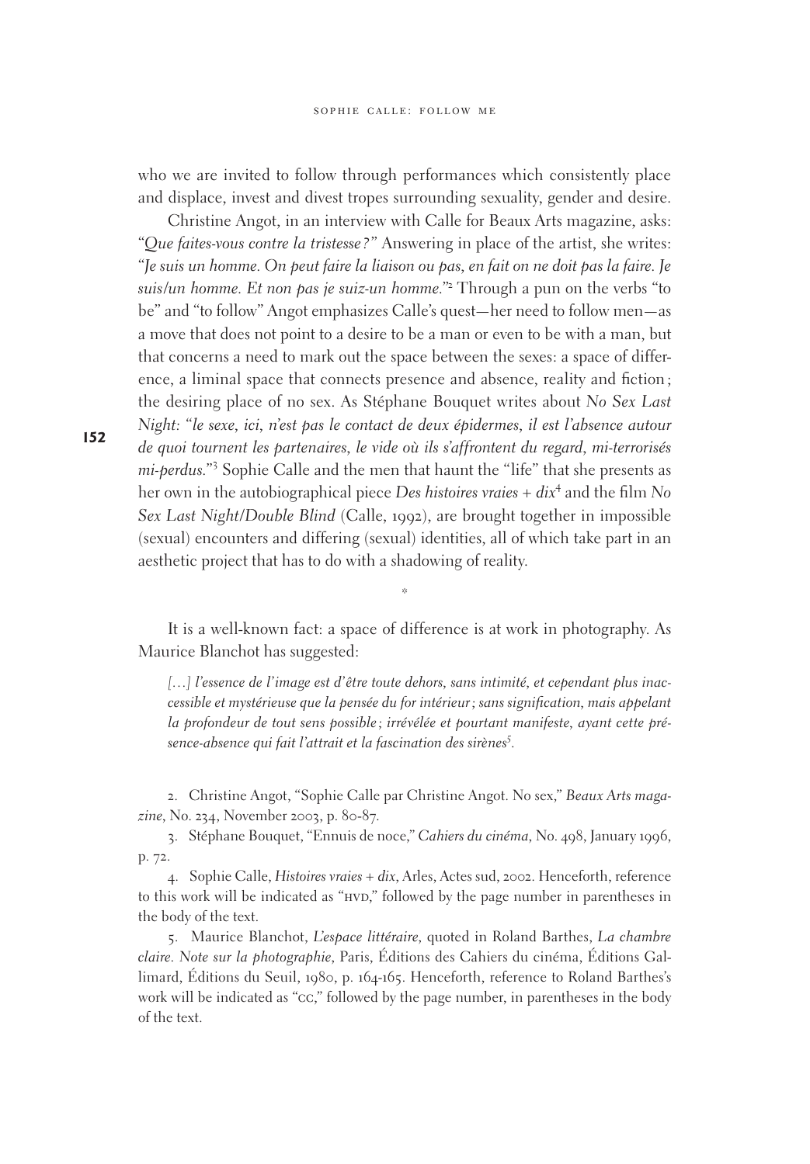who we are invited to follow through performances which consistently place and displace, invest and divest tropes surrounding sexuality, gender and desire.

Christine Angot, in an interview with Calle for Beaux Arts magazine, asks: "*Que faites-vous contre la tristesse ?*" Answering in place of the artist, she writes: "*Je suis un homme. On peut faire la liaison ou pas, en fait on ne doit pas la faire. Je suis/un homme. Et non pas je suiz-un homme.*"<sup>2</sup> Through a pun on the verbs "to be" and "to follow" Angot emphasizes Calle's quest—her need to follow men—as a move that does not point to a desire to be a man or even to be with a man, but that concerns a need to mark out the space between the sexes: a space of difference, a liminal space that connects presence and absence, reality and fiction; the desiring place of no sex. As Stéphane Bouquet writes about *No Sex Last Night: "le sexe, ici, n'est pas le contact de deux épidermes, il est l'absence autour de quoi tournent les partenaires, le vide où ils s'affrontent du regard, mi-terrorisés mi-perdus.*" Sophie Calle and the men that haunt the "life" that she presents as her own in the autobiographical piece *Des histoires vraies + dix* and the film *No Sex Last Night/Double Blind* (Calle, 1992), are brought together in impossible (sexual) encounters and differing (sexual) identities, all of which take part in an aesthetic project that has to do with a shadowing of reality.

It is a well-known fact: a space of difference is at work in photography. As Maurice Blanchot has suggested:

\*

[...] l'essence de l'image est d'être toute dehors, sans intimité, et cependant plus inac*cessible et mystérieuse que la pensée du for intérieur; sans signification, mais appelant*  la profondeur de tout sens possible; irrévélée et pourtant manifeste, avant cette pré*sence-absence qui fait l'attrait et la fascination des sirènes .*

2. Christine Angot, "Sophie Calle par Christine Angot. No sex," *Beaux Arts magazine*, No. 234, November 2003, p. 80-87.

3. Stéphane Bouquet, "Ennuis de noce," *Cahiers du cinéma,* No. 498, January 1996, p. 72.

4. Sophie Calle, *Histoires vraies + dix*, Arles, Actes sud, 2002. Henceforth, reference to this work will be indicated as "HVD," followed by the page number in parentheses in the body of the text.

5. Maurice Blanchot, *L'espace littéraire*, quoted in Roland Barthes, *La chambre claire. Note sur la photographie*, Paris, Éditions des Cahiers du cinéma, Éditions Gallimard, Éditions du Seuil, 1980, p. 164-165. Henceforth, reference to Roland Barthes's work will be indicated as "cc," followed by the page number, in parentheses in the body of the text.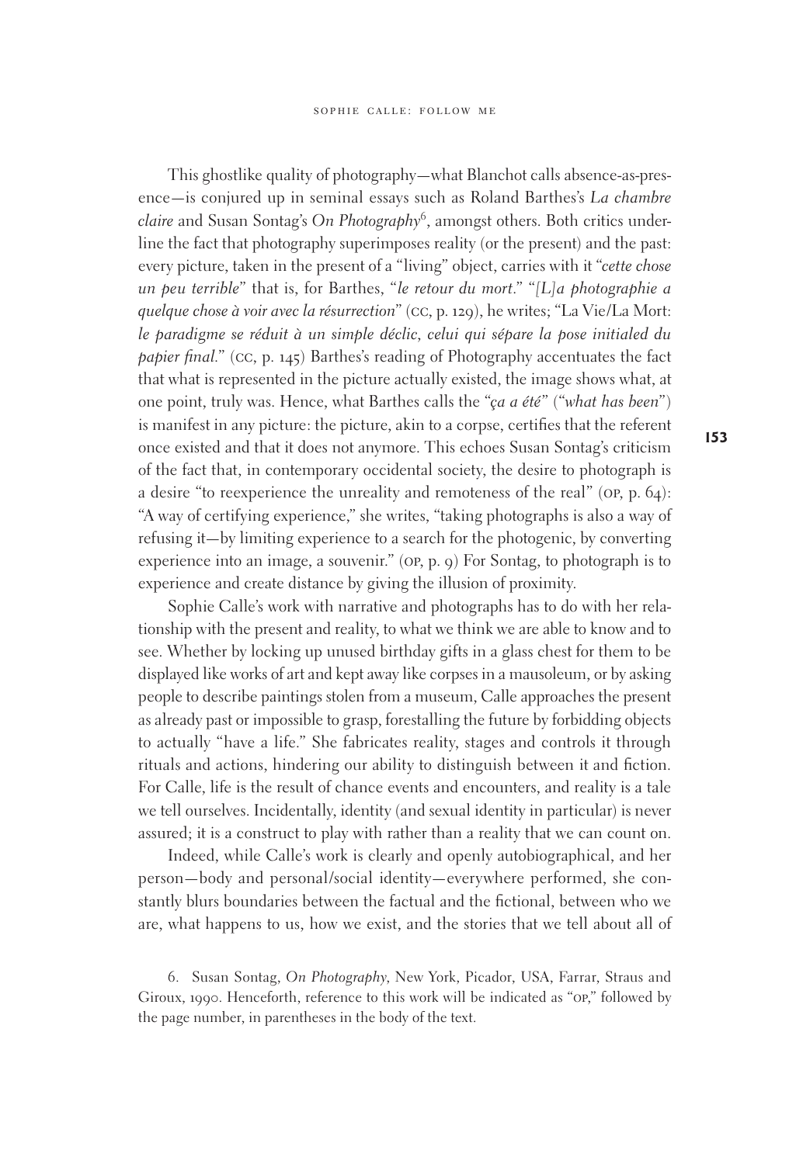This ghostlike quality of photography—what Blanchot calls absence-as-presence—is conjured up in seminal essays such as Roland Barthes's *La chambre claire* and Susan Sontag's *On Photography*6, amongst others. Both critics underline the fact that photography superimposes reality (or the present) and the past: every picture, taken in the present of a "living" object, carries with it "*cette chose un peu terrible*" that is, for Barthes, "*le retour du mort*." "*[L]a photographie a quelque chose à voir avec la résurrection*" (cc, p. 129), he writes; "La Vie/La Mort: *le paradigme se réduit à un simple déclic, celui qui sépare la pose initialed du papier final.*" (cc, p. 145) Barthes's reading of Photography accentuates the fact that what is represented in the picture actually existed, the image shows what, at one point, truly was. Hence, what Barthes calls the "*ça a été*" ("*what has been*") is manifest in any picture: the picture, akin to a corpse, certifies that the referent once existed and that it does not anymore. This echoes Susan Sontag's criticism of the fact that, in contemporary occidental society, the desire to photograph is a desire "to reexperience the unreality and remoteness of the real" (op, p. 64): "A way of certifying experience," she writes, "taking photographs is also a way of refusing it—by limiting experience to a search for the photogenic, by converting experience into an image, a souvenir." (op, p. 9) For Sontag, to photograph is to experience and create distance by giving the illusion of proximity.

Sophie Calle's work with narrative and photographs has to do with her relationship with the present and reality, to what we think we are able to know and to see. Whether by locking up unused birthday gifts in a glass chest for them to be displayed like works of art and kept away like corpses in a mausoleum, or by asking people to describe paintings stolen from a museum, Calle approaches the present as already past or impossible to grasp, forestalling the future by forbidding objects to actually "have a life." She fabricates reality, stages and controls it through rituals and actions, hindering our ability to distinguish between it and fiction. For Calle, life is the result of chance events and encounters, and reality is a tale we tell ourselves. Incidentally, identity (and sexual identity in particular) is never assured; it is a construct to play with rather than a reality that we can count on.

Indeed, while Calle's work is clearly and openly autobiographical, and her person—body and personal/social identity—everywhere performed, she constantly blurs boundaries between the factual and the fictional, between who we are, what happens to us, how we exist, and the stories that we tell about all of

6. Susan Sontag, *On Photography*, New York, Picador, USA, Farrar, Straus and Giroux, 1990. Henceforth, reference to this work will be indicated as "op," followed by the page number, in parentheses in the body of the text.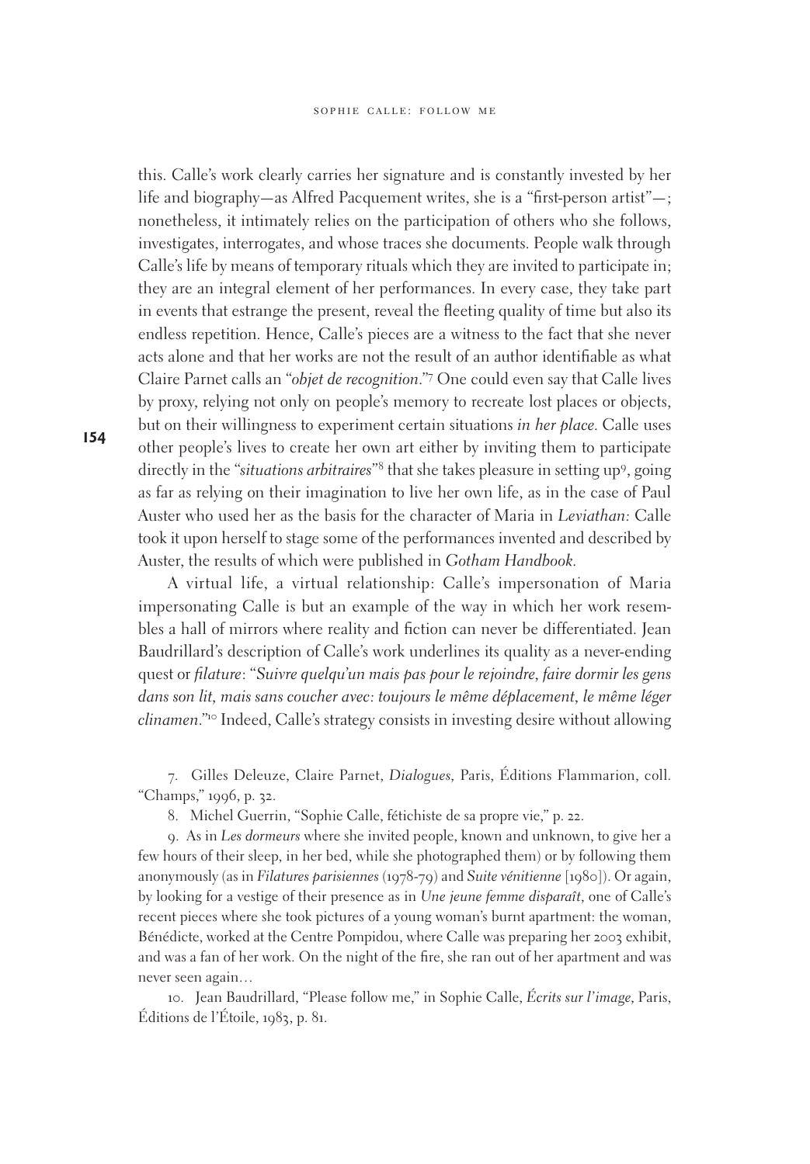this. Calle's work clearly carries her signature and is constantly invested by her life and biography—as Alfred Pacquement writes, she is a "first-person artist"—; nonetheless, it intimately relies on the participation of others who she follows, investigates, interrogates, and whose traces she documents. People walk through Calle's life by means of temporary rituals which they are invited to participate in; they are an integral element of her performances. In every case, they take part in events that estrange the present, reveal the fleeting quality of time but also its endless repetition. Hence, Calle's pieces are a witness to the fact that she never acts alone and that her works are not the result of an author identifiable as what Claire Parnet calls an "*objet de recognition*."7 One could even say that Calle lives by proxy, relying not only on people's memory to recreate lost places or objects, but on their willingness to experiment certain situations *in her place*. Calle uses other people's lives to create her own art either by inviting them to participate directly in the "*situations arbitraires*"8 that she takes pleasure in setting up9, going as far as relying on their imagination to live her own life, as in the case of Paul Auster who used her as the basis for the character of Maria in *Leviathan:* Calle took it upon herself to stage some of the performances invented and described by Auster, the results of which were published in *Gotham Handbook*.

A virtual life, a virtual relationship: Calle's impersonation of Maria impersonating Calle is but an example of the way in which her work resembles a hall of mirrors where reality and fiction can never be differentiated. Jean Baudrillard's description of Calle's work underlines its quality as a never-ending quest or *filature*: "*Suivre quelqu'un mais pas pour le rejoindre, faire dormir les gens dans son lit, mais sans coucher avec: toujours le même déplacement, le même léger clinamen*."10 Indeed, Calle's strategy consists in investing desire without allowing

7. Gilles Deleuze, Claire Parnet, *Dialogues,* Paris, Éditions Flammarion, coll. "Champs," 1996, p. 32.

8. Michel Guerrin, "Sophie Calle, fétichiste de sa propre vie," p. 22.

9. As in *Les dormeurs* where she invited people, known and unknown, to give her a few hours of their sleep, in her bed, while she photographed them) or by following them anonymously (as in *Filatures parisiennes* (1978-79) and *Suite vénitienne* [1980]). Or again, by looking for a vestige of their presence as in *Une jeune femme disparaît*, one of Calle's recent pieces where she took pictures of a young woman's burnt apartment: the woman, Bénédicte, worked at the Centre Pompidou, where Calle was preparing her 2003 exhibit, and was a fan of her work. On the night of the fire, she ran out of her apartment and was never seen again…

10. Jean Baudrillard, "Please follow me," in Sophie Calle, *Écrits sur l'image*, Paris, Éditions de l'Étoile, 1983, p. 81.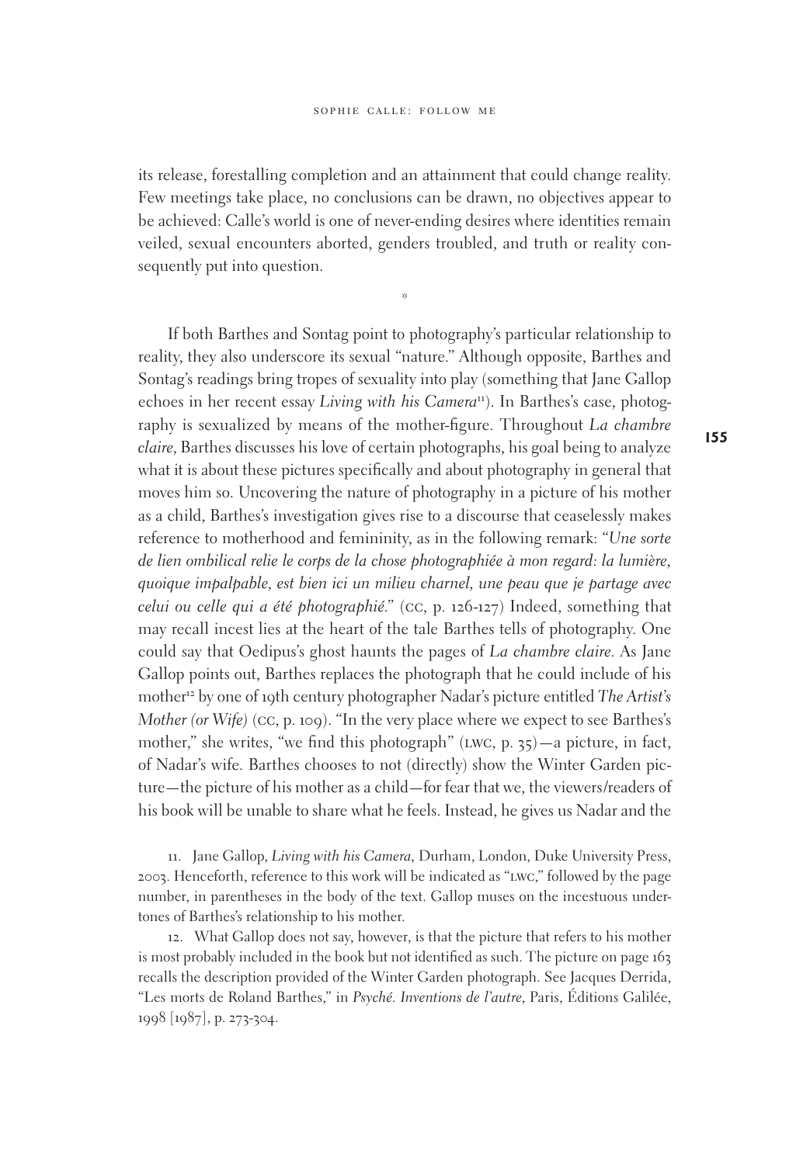its release, forestalling completion and an attainment that could change reality. Few meetings take place, no conclusions can be drawn, no objectives appear to be achieved: Calle's world is one of never-ending desires where identities remain veiled, sexual encounters aborted, genders troubled, and truth or reality consequently put into question.

\*

If both Barthes and Sontag point to photography's particular relationship to reality, they also underscore its sexual "nature." Although opposite, Barthes and Sontag's readings bring tropes of sexuality into play (something that Jane Gallop echoes in her recent essay *Living with his Camera*<sup>11</sup>). In Barthes's case, photography is sexualized by means of the mother-figure. Throughout *La chambre claire*, Barthes discusses his love of certain photographs, his goal being to analyze what it is about these pictures specifically and about photography in general that moves him so. Uncovering the nature of photography in a picture of his mother as a child, Barthes's investigation gives rise to a discourse that ceaselessly makes reference to motherhood and femininity, as in the following remark: "*Une sorte de lien ombilical relie le corps de la chose photographiée à mon regard: la lumière, quoique impalpable, est bien ici un milieu charnel, une peau que je partage avec celui ou celle qui a été photographié*." (cc, p. 126-127) Indeed, something that may recall incest lies at the heart of the tale Barthes tells of photography. One could say that Oedipus's ghost haunts the pages of *La chambre claire*. As Jane Gallop points out, Barthes replaces the photograph that he could include of his mother<sup>12</sup> by one of 19th century photographer Nadar's picture entitled *The Artist's Mother (or Wife)* (cc, p. 109). "In the very place where we expect to see Barthes's mother," she writes, "we find this photograph" (LWC, p.  $35$ )—a picture, in fact, of Nadar's wife. Barthes chooses to not (directly) show the Winter Garden picture—the picture of his mother as a child—for fear that we, the viewers/readers of his book will be unable to share what he feels. Instead, he gives us Nadar and the

11. Jane Gallop, *Living with his Camera,* Durham, London, Duke University Press, 2003. Henceforth, reference to this work will be indicated as "lwc," followed by the page number, in parentheses in the body of the text. Gallop muses on the incestuous undertones of Barthes's relationship to his mother.

12. What Gallop does not say, however, is that the picture that refers to his mother is most probably included in the book but not identified as such. The picture on page 163 recalls the description provided of the Winter Garden photograph. See Jacques Derrida, "Les morts de Roland Barthes," in *Psyché. Inventions de l'autre*, Paris, Éditions Galilée, 1998 [1987], p. 273-304.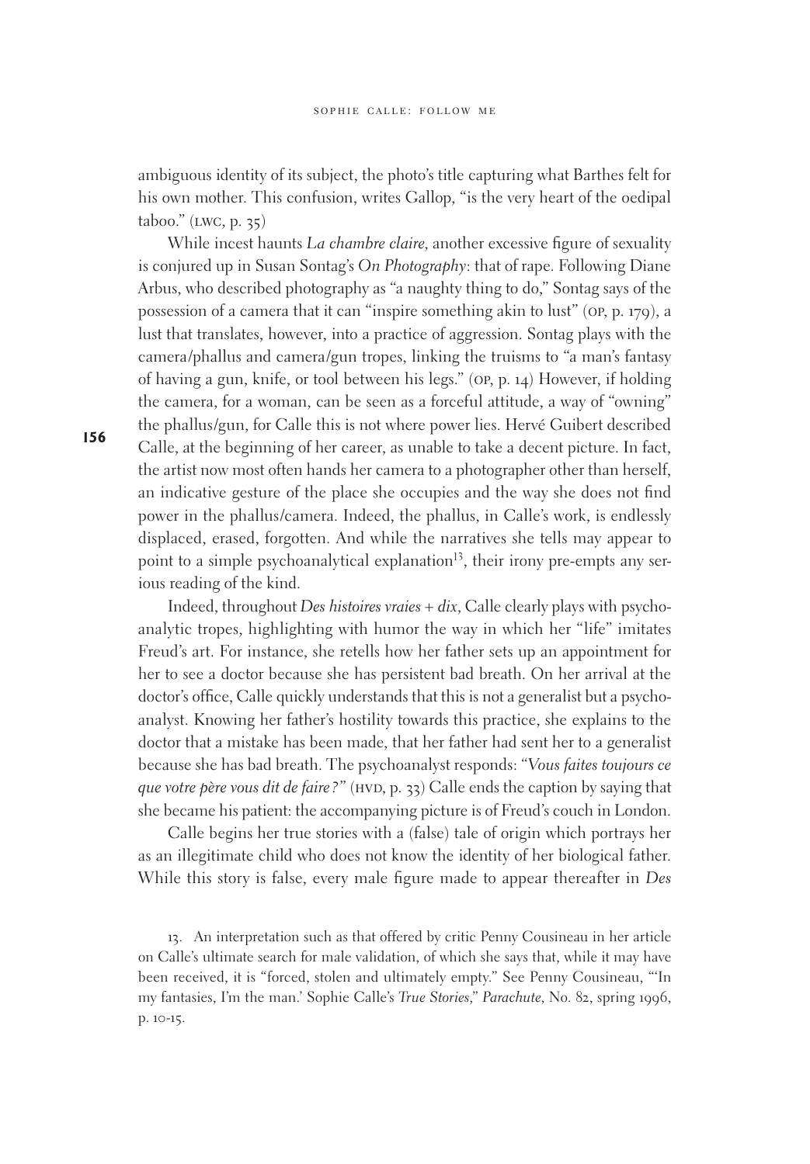ambiguous identity of its subject, the photo's title capturing what Barthes felt for his own mother. This confusion, writes Gallop, "is the very heart of the oedipal  $taboo." (LWC, p. 35)$ 

While incest haunts *La chambre claire*, another excessive figure of sexuality is conjured up in Susan Sontag's *On Photography*: that of rape. Following Diane Arbus, who described photography as "a naughty thing to do," Sontag says of the possession of a camera that it can "inspire something akin to lust" (op, p. 179), a lust that translates, however, into a practice of aggression. Sontag plays with the camera/phallus and camera/gun tropes, linking the truisms to "a man's fantasy of having a gun, knife, or tool between his legs." (op, p. 14) However, if holding the camera, for a woman, can be seen as a forceful attitude, a way of "owning" the phallus/gun, for Calle this is not where power lies. Hervé Guibert described Calle, at the beginning of her career, as unable to take a decent picture. In fact, the artist now most often hands her camera to a photographer other than herself, an indicative gesture of the place she occupies and the way she does not find power in the phallus/camera. Indeed, the phallus, in Calle's work, is endlessly displaced, erased, forgotten. And while the narratives she tells may appear to point to a simple psychoanalytical explanation<sup>13</sup>, their irony pre-empts any serious reading of the kind.

Indeed, throughout *Des histoires vraies + dix*, Calle clearly plays with psychoanalytic tropes, highlighting with humor the way in which her "life" imitates Freud's art. For instance, she retells how her father sets up an appointment for her to see a doctor because she has persistent bad breath. On her arrival at the doctor's office, Calle quickly understands that this is not a generalist but a psychoanalyst. Knowing her father's hostility towards this practice, she explains to the doctor that a mistake has been made, that her father had sent her to a generalist because she has bad breath. The psychoanalyst responds: "*Vous faites toujours ce que votre père vous dit de faire* ?" (HVD, p. 33) Calle ends the caption by saying that she became his patient: the accompanying picture is of Freud's couch in London.

Calle begins her true stories with a (false) tale of origin which portrays her as an illegitimate child who does not know the identity of her biological father. While this story is false, every male figure made to appear thereafter in *Des* 

13. An interpretation such as that offered by critic Penny Cousineau in her article on Calle's ultimate search for male validation, of which she says that, while it may have been received, it is "forced, stolen and ultimately empty." See Penny Cousineau, "'In my fantasies, I'm the man.' Sophie Calle's *True Stories*," *Parachute*, No. 82, spring 1996, p. 10-15.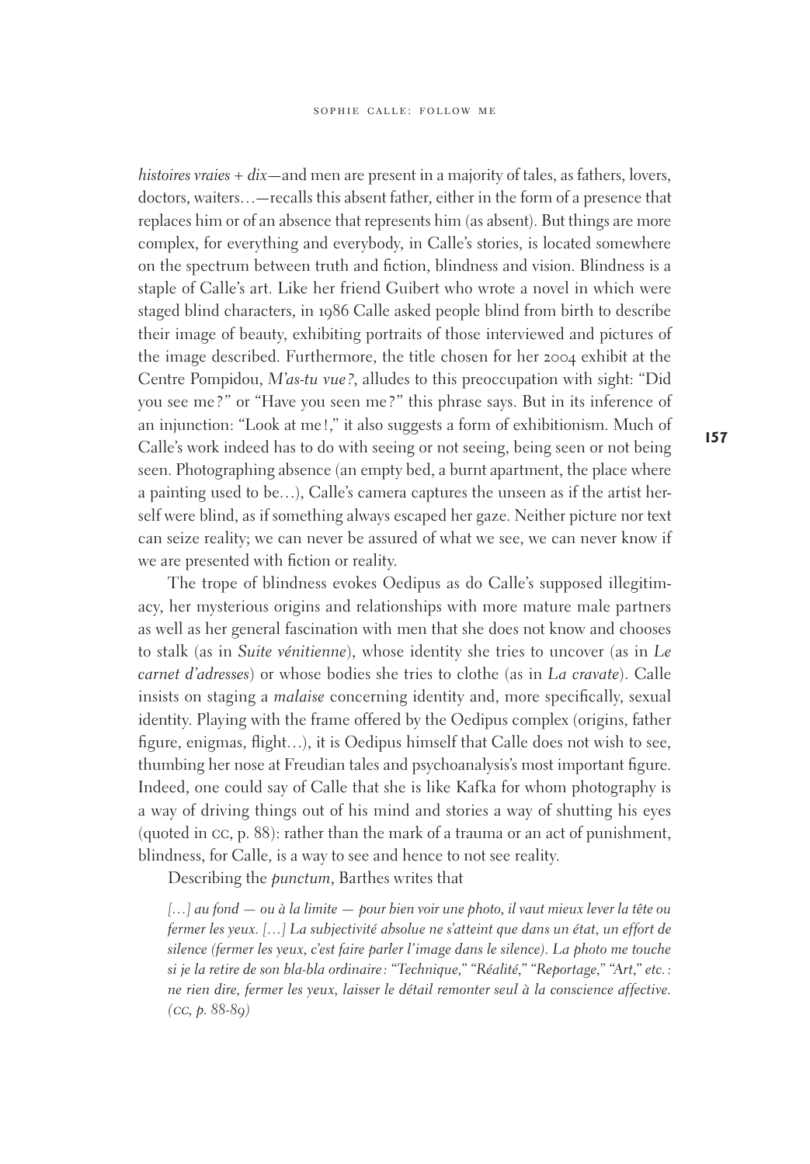*histoires vraies + dix*—and men are present in a majority of tales, as fathers, lovers, doctors, waiters…—recalls this absent father, either in the form of a presence that replaces him or of an absence that represents him (as absent). But things are more complex, for everything and everybody, in Calle's stories, is located somewhere on the spectrum between truth and fiction, blindness and vision. Blindness is a staple of Calle's art. Like her friend Guibert who wrote a novel in which were staged blind characters, in 1986 Calle asked people blind from birth to describe their image of beauty, exhibiting portraits of those interviewed and pictures of the image described. Furthermore, the title chosen for her 2004 exhibit at the Centre Pompidou, *M'as-tu vue ?*, alludes to this preoccupation with sight: "Did you see me ?" or "Have you seen me ?" this phrase says. But in its inference of an injunction: "Look at me !," it also suggests a form of exhibitionism. Much of Calle's work indeed has to do with seeing or not seeing, being seen or not being seen. Photographing absence (an empty bed, a burnt apartment, the place where a painting used to be…), Calle's camera captures the unseen as if the artist herself were blind, as if something always escaped her gaze. Neither picture nor text can seize reality; we can never be assured of what we see, we can never know if we are presented with fiction or reality.

The trope of blindness evokes Oedipus as do Calle's supposed illegitimacy, her mysterious origins and relationships with more mature male partners as well as her general fascination with men that she does not know and chooses to stalk (as in *Suite vénitienne*)*,* whose identity she tries to uncover (as in *Le carnet d'adresses*) or whose bodies she tries to clothe (as in *La cravate*). Calle insists on staging a *malaise* concerning identity and, more specifically, sexual identity. Playing with the frame offered by the Oedipus complex (origins, father figure, enigmas, flight…), it is Oedipus himself that Calle does not wish to see, thumbing her nose at Freudian tales and psychoanalysis's most important figure. Indeed, one could say of Calle that she is like Kafka for whom photography is a way of driving things out of his mind and stories a way of shutting his eyes (quoted in cc, p. 88): rather than the mark of a trauma or an act of punishment, blindness, for Calle, is a way to see and hence to not see reality.

Describing the *punctum*, Barthes writes that

*[…] au fond — ou à la limite — pour bien voir une photo, il vaut mieux lever la tête ou fermer les yeux. […] La subjectivité absolue ne s'atteint que dans un état, un effort de silence (fermer les yeux, c'est faire parler l'image dans le silence). La photo me touche si je la retire de son bla-bla ordinaire : "Technique," "Réalité," "Reportage," "Art," etc. : ne rien dire, fermer les yeux, laisser le détail remonter seul à la conscience affective. (*cc*, p. 88-89)*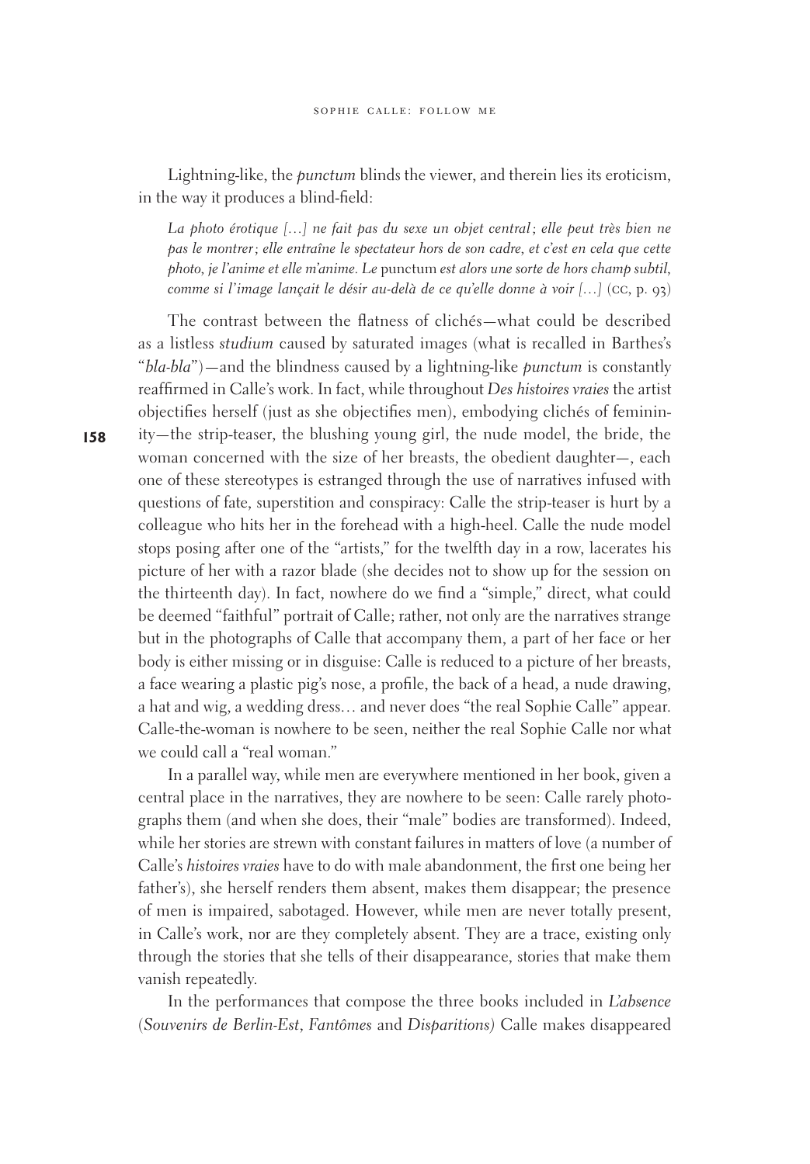Lightning-like, the *punctum* blinds the viewer, and therein lies its eroticism, in the way it produces a blind-field:

*La photo érotique […] ne fait pas du sexe un objet central ; elle peut très bien ne pas le montrer; elle entraîne le spectateur hors de son cadre, et c'est en cela que cette photo, je l'anime et elle m'anime. Le* punctum *est alors une sorte de hors champ subtil, comme si l'image lançait le désir au-delà de ce qu'elle donne à voir […]* (cc, p. 93)

The contrast between the flatness of clichés—what could be described as a listless *studium* caused by saturated images (what is recalled in Barthes's "*bla-bla*")—and the blindness caused by a lightning-like *punctum* is constantly reaffirmed in Calle's work. In fact, while throughout *Des histoires vraies* the artist objectifies herself (just as she objectifies men), embodying clichés of femininity—the strip-teaser, the blushing young girl, the nude model, the bride, the woman concerned with the size of her breasts, the obedient daughter—, each one of these stereotypes is estranged through the use of narratives infused with questions of fate, superstition and conspiracy: Calle the strip-teaser is hurt by a colleague who hits her in the forehead with a high-heel. Calle the nude model stops posing after one of the "artists," for the twelfth day in a row, lacerates his picture of her with a razor blade (she decides not to show up for the session on the thirteenth day). In fact, nowhere do we find a "simple," direct, what could be deemed "faithful" portrait of Calle; rather, not only are the narratives strange but in the photographs of Calle that accompany them, a part of her face or her body is either missing or in disguise: Calle is reduced to a picture of her breasts, a face wearing a plastic pig's nose, a profile, the back of a head, a nude drawing, a hat and wig, a wedding dress… and never does "the real Sophie Calle" appear. Calle-the-woman is nowhere to be seen, neither the real Sophie Calle nor what we could call a "real woman."

In a parallel way, while men are everywhere mentioned in her book, given a central place in the narratives, they are nowhere to be seen: Calle rarely photographs them (and when she does, their "male" bodies are transformed). Indeed, while her stories are strewn with constant failures in matters of love (a number of Calle's *histoires vraies* have to do with male abandonment, the first one being her father's), she herself renders them absent, makes them disappear; the presence of men is impaired, sabotaged. However, while men are never totally present, in Calle's work, nor are they completely absent. They are a trace, existing only through the stories that she tells of their disappearance, stories that make them vanish repeatedly.

In the performances that compose the three books included in *L'absence* (*Souvenirs de Berlin-Est*, *Fantômes* and *Disparitions)* Calle makes disappeared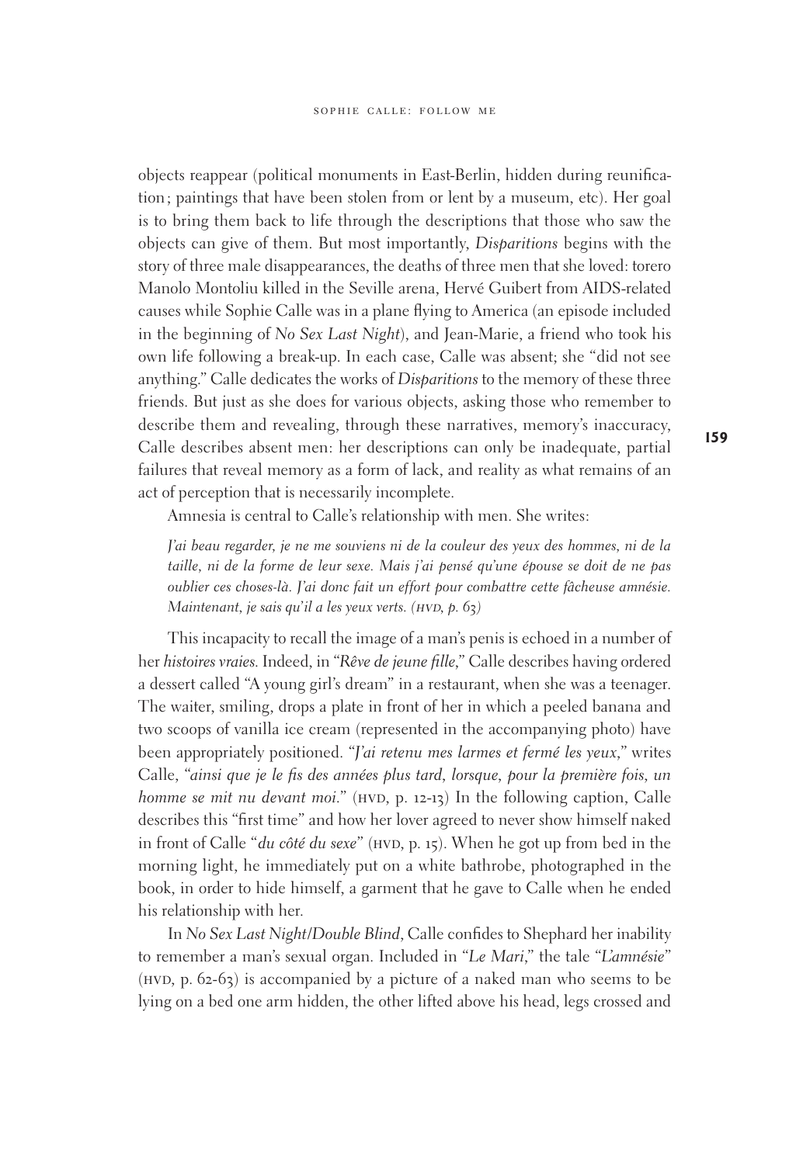objects reappear (political monuments in East-Berlin, hidden during reunification; paintings that have been stolen from or lent by a museum, etc). Her goal is to bring them back to life through the descriptions that those who saw the objects can give of them. But most importantly, *Disparitions* begins with the story of three male disappearances, the deaths of three men that she loved: torero Manolo Montoliu killed in the Seville arena, Hervé Guibert from AIDS-related causes while Sophie Calle was in a plane flying to America (an episode included in the beginning of *No Sex Last Night*), and Jean-Marie, a friend who took his own life following a break-up. In each case, Calle was absent; she "did not see anything." Calle dedicates the works of *Disparitions* to the memory of these three friends. But just as she does for various objects, asking those who remember to describe them and revealing, through these narratives, memory's inaccuracy, Calle describes absent men: her descriptions can only be inadequate, partial failures that reveal memory as a form of lack, and reality as what remains of an act of perception that is necessarily incomplete.

Amnesia is central to Calle's relationship with men. She writes:

*J'ai beau regarder, je ne me souviens ni de la couleur des yeux des hommes, ni de la taille, ni de la forme de leur sexe. Mais j'ai pensé qu'une épouse se doit de ne pas oublier ces choses-là. J'ai donc fait un effort pour combattre cette fâcheuse amnésie. Maintenant, je sais qu'il a les yeux verts. (HVD, p. 63)* 

This incapacity to recall the image of a man's penis is echoed in a number of her *histoires vraies*. Indeed, in "*Rêve de jeune fille,*" Calle describes having ordered a dessert called "A young girl's dream" in a restaurant, when she was a teenager. The waiter, smiling, drops a plate in front of her in which a peeled banana and two scoops of vanilla ice cream (represented in the accompanying photo) have been appropriately positioned. "*J'ai retenu mes larmes et fermé les yeux,"* writes Calle, *"ainsi que je le fis des années plus tard, lorsque, pour la première fois, un homme se mit nu devant moi.*" (HVD, p. 12-13) In the following caption, Calle describes this "first time" and how her lover agreed to never show himself naked in front of Calle "*du côté du sexe*" (HVD, p. 15). When he got up from bed in the morning light, he immediately put on a white bathrobe, photographed in the book, in order to hide himself, a garment that he gave to Calle when he ended his relationship with her.

In *No Sex Last Night*/*Double Blind*, Calle confides to Shephard her inability to remember a man's sexual organ. Included in "*Le Mari*," the tale "*L'amnésie*"  $(HVD, p. 62-63)$  is accompanied by a picture of a naked man who seems to be lying on a bed one arm hidden, the other lifted above his head, legs crossed and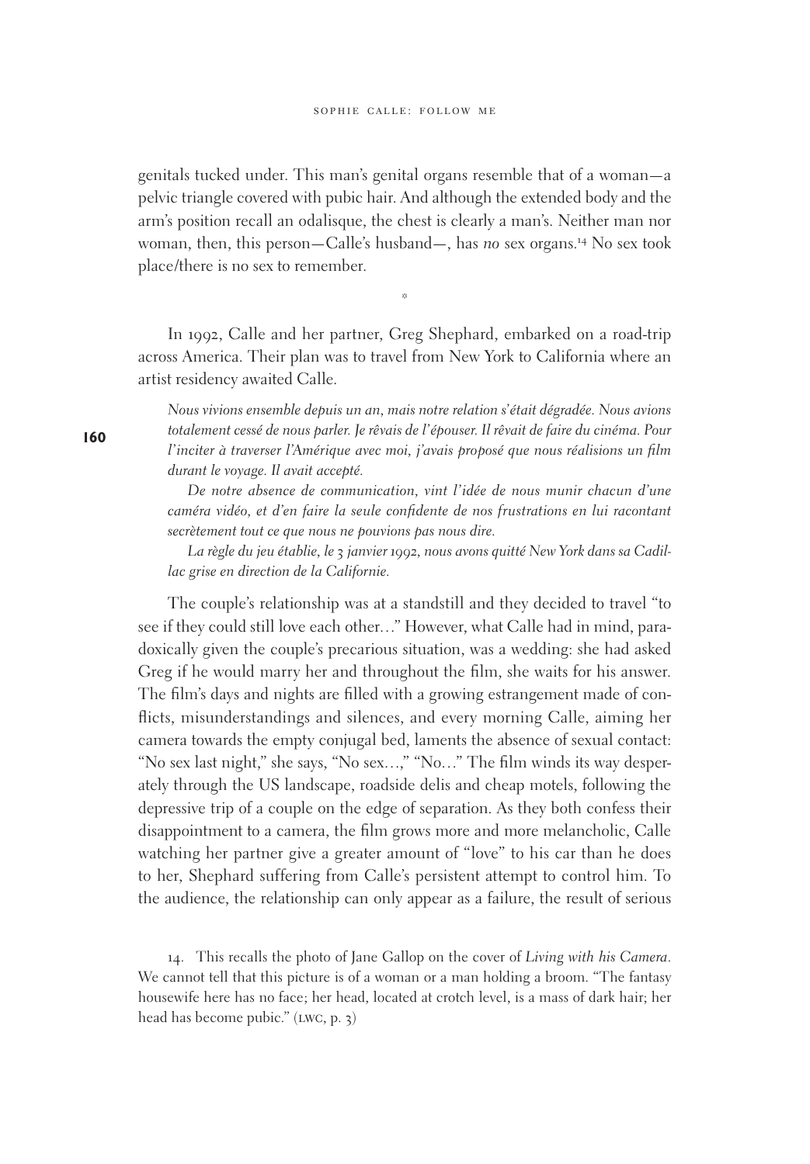genitals tucked under. This man's genital organs resemble that of a woman—a pelvic triangle covered with pubic hair. And although the extended body and the arm's position recall an odalisque, the chest is clearly a man's. Neither man nor woman, then, this person—Calle's husband—, has *no* sex organs.14 No sex took place/there is no sex to remember.

In 1992, Calle and her partner, Greg Shephard, embarked on a road-trip across America. Their plan was to travel from New York to California where an artist residency awaited Calle.

\*

*Nous vivions ensemble depuis un an, mais notre relation s'était dégradée. Nous avions totalement cessé de nous parler. Je rêvais de l'épouser. Il rêvait de faire du cinéma. Pour l'inciter à traverser l'Amérique avec moi, j'avais proposé que nous réalisions un film durant le voyage. Il avait accepté.*

*De notre absence de communication, vint l'idée de nous munir chacun d'une caméra vidéo, et d'en faire la seule confidente de nos frustrations en lui racontant secrètement tout ce que nous ne pouvions pas nous dire.*

*La règle du jeu établie, le 3 janvier 1992, nous avons quitté New York dans sa Cadillac grise en direction de la Californie.*

The couple's relationship was at a standstill and they decided to travel "to see if they could still love each other…" However, what Calle had in mind, paradoxically given the couple's precarious situation, was a wedding: she had asked Greg if he would marry her and throughout the film, she waits for his answer. The film's days and nights are filled with a growing estrangement made of conflicts, misunderstandings and silences, and every morning Calle, aiming her camera towards the empty conjugal bed, laments the absence of sexual contact: "No sex last night," she says, "No sex…," "No…" The film winds its way desperately through the US landscape, roadside delis and cheap motels, following the depressive trip of a couple on the edge of separation. As they both confess their disappointment to a camera, the film grows more and more melancholic, Calle watching her partner give a greater amount of "love" to his car than he does to her, Shephard suffering from Calle's persistent attempt to control him. To the audience, the relationship can only appear as a failure, the result of serious

14. This recalls the photo of Jane Gallop on the cover of *Living with his Camera*. We cannot tell that this picture is of a woman or a man holding a broom. "The fantasy housewife here has no face; her head, located at crotch level, is a mass of dark hair; her head has become pubic." (LWC, p. 3)

**160**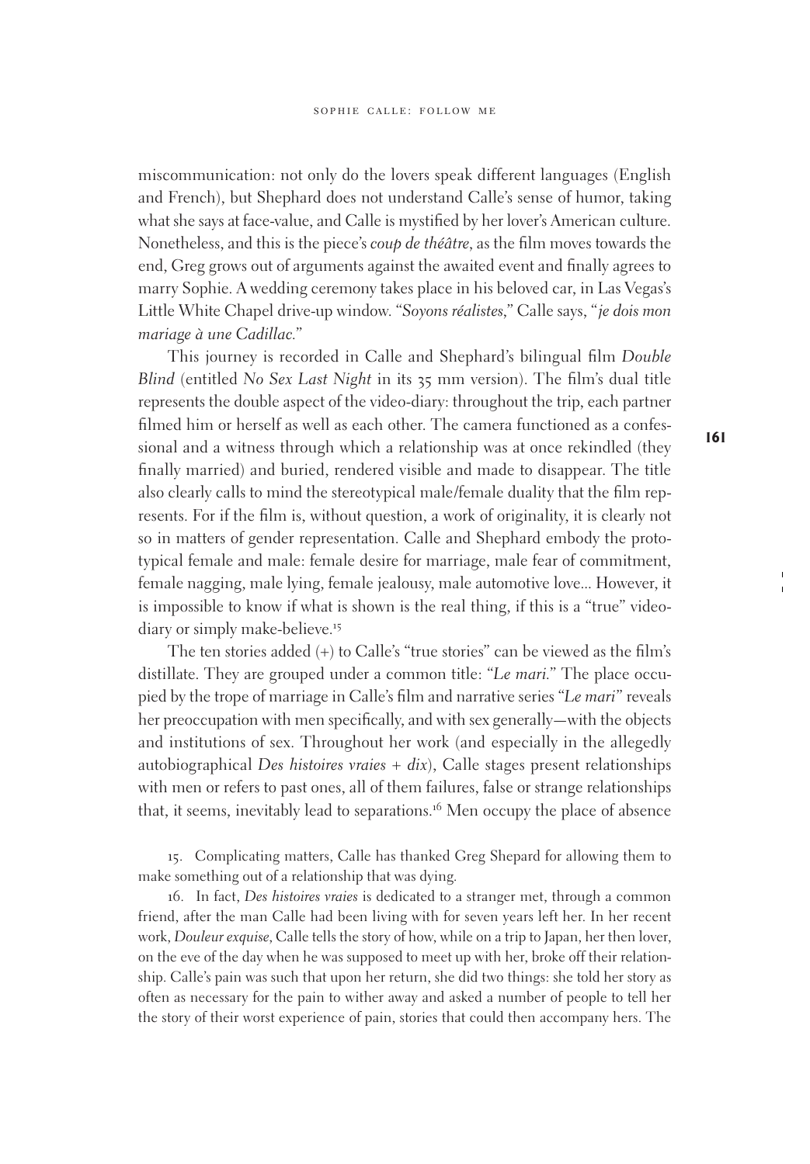miscommunication: not only do the lovers speak different languages (English and French), but Shephard does not understand Calle's sense of humor, taking what she says at face-value, and Calle is mystified by her lover's American culture. Nonetheless, and this is the piece's *coup de théâtre*, as the film moves towards the end, Greg grows out of arguments against the awaited event and finally agrees to marry Sophie. A wedding ceremony takes place in his beloved car, in Las Vegas's Little White Chapel drive-up window. "*Soyons réalistes,*" Calle says, "*je dois mon mariage à une Cadillac.*"

This journey is recorded in Calle and Shephard's bilingual film *Double Blind* (entitled *No Sex Last Night* in its 35 mm version). The film's dual title represents the double aspect of the video-diary: throughout the trip, each partner filmed him or herself as well as each other. The camera functioned as a confessional and a witness through which a relationship was at once rekindled (they finally married) and buried, rendered visible and made to disappear. The title also clearly calls to mind the stereotypical male/female duality that the film represents. For if the film is, without question, a work of originality, it is clearly not so in matters of gender representation. Calle and Shephard embody the prototypical female and male: female desire for marriage, male fear of commitment, female nagging, male lying, female jealousy, male automotive love... However, it is impossible to know if what is shown is the real thing, if this is a "true" videodiary or simply make-believe.<sup>15</sup>

The ten stories added (+) to Calle's "true stories" can be viewed as the film's distillate. They are grouped under a common title: "*Le mari.*" The place occupied by the trope of marriage in Calle's film and narrative series "*Le mari*" reveals her preoccupation with men specifically, and with sex generally—with the objects and institutions of sex. Throughout her work (and especially in the allegedly autobiographical *Des histoires vraies + dix*), Calle stages present relationships with men or refers to past ones, all of them failures, false or strange relationships that, it seems, inevitably lead to separations.16 Men occupy the place of absence

15. Complicating matters, Calle has thanked Greg Shepard for allowing them to make something out of a relationship that was dying.

16. In fact, *Des histoires vraies* is dedicated to a stranger met, through a common friend, after the man Calle had been living with for seven years left her. In her recent work, *Douleur exquise*, Calle tells the story of how, while on a trip to Japan, her then lover, on the eve of the day when he was supposed to meet up with her, broke off their relationship. Calle's pain was such that upon her return, she did two things: she told her story as often as necessary for the pain to wither away and asked a number of people to tell her the story of their worst experience of pain, stories that could then accompany hers. The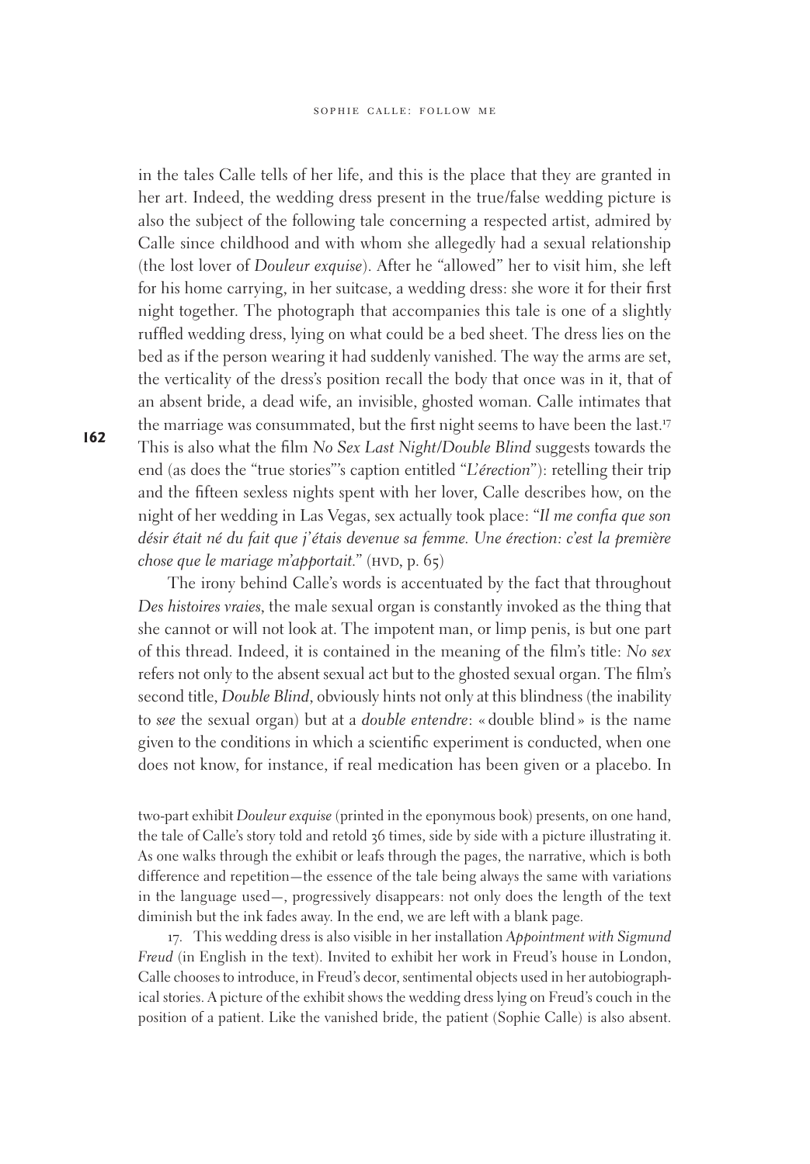in the tales Calle tells of her life, and this is the place that they are granted in her art. Indeed, the wedding dress present in the true/false wedding picture is also the subject of the following tale concerning a respected artist, admired by Calle since childhood and with whom she allegedly had a sexual relationship (the lost lover of *Douleur exquise*). After he "allowed" her to visit him, she left for his home carrying, in her suitcase, a wedding dress: she wore it for their first night together. The photograph that accompanies this tale is one of a slightly ruffled wedding dress, lying on what could be a bed sheet. The dress lies on the bed as if the person wearing it had suddenly vanished. The way the arms are set, the verticality of the dress's position recall the body that once was in it, that of an absent bride, a dead wife, an invisible, ghosted woman. Calle intimates that the marriage was consummated, but the first night seems to have been the last.<sup>17</sup> This is also what the film *No Sex Last Night/Double Blind* suggests towards the end (as does the "true stories"'s caption entitled "*L'érection*"): retelling their trip and the fifteen sexless nights spent with her lover, Calle describes how, on the night of her wedding in Las Vegas, sex actually took place: "*Il me confia que son désir était né du fait que j'étais devenue sa femme. Une érection: c'est la première chose que le mariage m'apportait.*" (HVD, p. 65)

The irony behind Calle's words is accentuated by the fact that throughout *Des histoires vraies*, the male sexual organ is constantly invoked as the thing that she cannot or will not look at. The impotent man, or limp penis, is but one part of this thread. Indeed, it is contained in the meaning of the film's title: *No sex* refers not only to the absent sexual act but to the ghosted sexual organ. The film's second title, *Double Blind*, obviously hints not only at this blindness (the inability to *see* the sexual organ) but at a *double entendre*: « double blind » is the name given to the conditions in which a scientific experiment is conducted, when one does not know, for instance, if real medication has been given or a placebo. In

two-part exhibit *Douleur exquise* (printed in the eponymous book) presents, on one hand, the tale of Calle's story told and retold 36 times, side by side with a picture illustrating it. As one walks through the exhibit or leafs through the pages, the narrative, which is both difference and repetition—the essence of the tale being always the same with variations in the language used—, progressively disappears: not only does the length of the text diminish but the ink fades away. In the end, we are left with a blank page.

17. This wedding dress is also visible in her installation *Appointment with Sigmund Freud* (in English in the text). Invited to exhibit her work in Freud's house in London, Calle chooses to introduce, in Freud's decor, sentimental objects used in her autobiographical stories. A picture of the exhibit shows the wedding dress lying on Freud's couch in the position of a patient. Like the vanished bride, the patient (Sophie Calle) is also absent.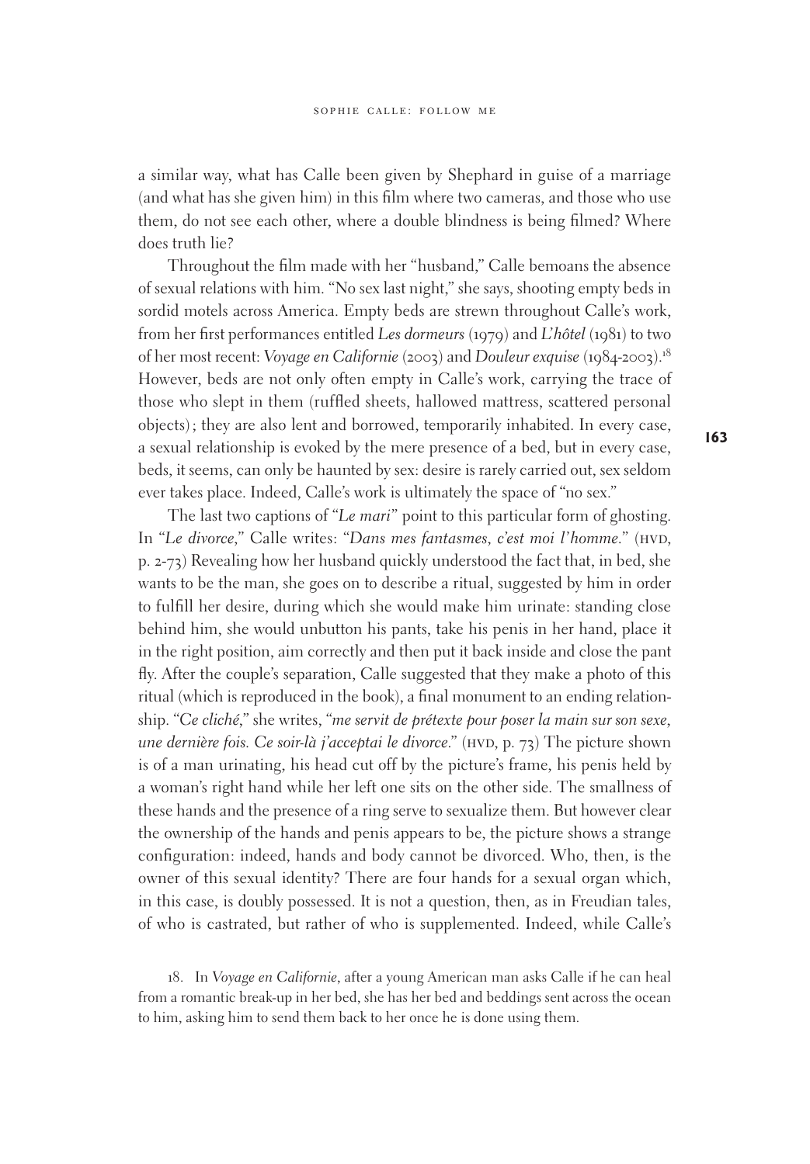a similar way, what has Calle been given by Shephard in guise of a marriage (and what has she given him) in this film where two cameras, and those who use them, do not see each other, where a double blindness is being filmed? Where does truth lie?

Throughout the film made with her "husband," Calle bemoans the absence of sexual relations with him. "No sex last night," she says, shooting empty beds in sordid motels across America. Empty beds are strewn throughout Calle's work, from her first performances entitled *Les dormeurs* (1979) and *L'hôtel* (1981) to two of her most recent: *Voyage en Californie* (2003) and *Douleur exquise* (1984-2003).18 However, beds are not only often empty in Calle's work, carrying the trace of those who slept in them (ruffled sheets, hallowed mattress, scattered personal objects); they are also lent and borrowed, temporarily inhabited. In every case, a sexual relationship is evoked by the mere presence of a bed, but in every case, beds, it seems, can only be haunted by sex: desire is rarely carried out, sex seldom ever takes place. Indeed, Calle's work is ultimately the space of "no sex."

The last two captions of "*Le mari*" point to this particular form of ghosting. In "Le divorce," Calle writes: "Dans mes fantasmes, c'est moi l'homme." (HVD, p. 2-73) Revealing how her husband quickly understood the fact that, in bed, she wants to be the man, she goes on to describe a ritual, suggested by him in order to fulfill her desire, during which she would make him urinate: standing close behind him, she would unbutton his pants, take his penis in her hand, place it in the right position, aim correctly and then put it back inside and close the pant fly. After the couple's separation, Calle suggested that they make a photo of this ritual (which is reproduced in the book), a final monument to an ending relationship. "*Ce cliché,*" she writes, "*me servit de prétexte pour poser la main sur son sexe, une dernière fois. Ce soir-là j'acceptai le divorce.*" (HVD, p. 73) The picture shown is of a man urinating, his head cut off by the picture's frame, his penis held by a woman's right hand while her left one sits on the other side. The smallness of these hands and the presence of a ring serve to sexualize them. But however clear the ownership of the hands and penis appears to be, the picture shows a strange configuration: indeed, hands and body cannot be divorced. Who, then, is the owner of this sexual identity? There are four hands for a sexual organ which, in this case, is doubly possessed. It is not a question, then, as in Freudian tales, of who is castrated, but rather of who is supplemented. Indeed, while Calle's

18. In *Voyage en Californie*, after a young American man asks Calle if he can heal from a romantic break-up in her bed, she has her bed and beddings sent across the ocean to him, asking him to send them back to her once he is done using them.